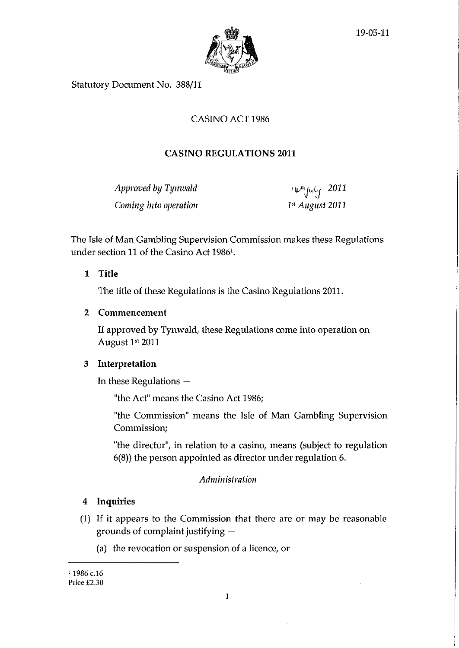

Statutory Document No. 388/11

# CASINO ACT 1986

# **CASINO REGULATIONS 2011**

*Approved by Tynwald ity<sup>n</sup>yuly* 2011 *Coming into operation 1" August 2011* 

The Isle of Man Gambling Supervision Commission makes these Regulations under section 11 of the Casino Act 19861.

**1 Title** 

The title of these Regulations is the Casino Regulations 2011.

## **2 Commencement**

If approved by Tynwald, these Regulations come into operation on August 1s' 2011

# 3 **Interpretation**

In these Regulations —

"the Act" means the Casino Act 1986;

"the Commission" means the Isle of Man Gambling Supervision Commission;

"the director", in relation to a casino, means (subject to regulation 6(8)) the person appointed as director under regulation 6.

# *Administration*

# **4 Inquiries**

- (1) If it appears to the Commission that there are or may be reasonable grounds of complaint justifying —
	- (a) the revocation or suspension of a licence, or

<sup>1</sup> 1986 c.16 Price £2.30

 $\bar{z}$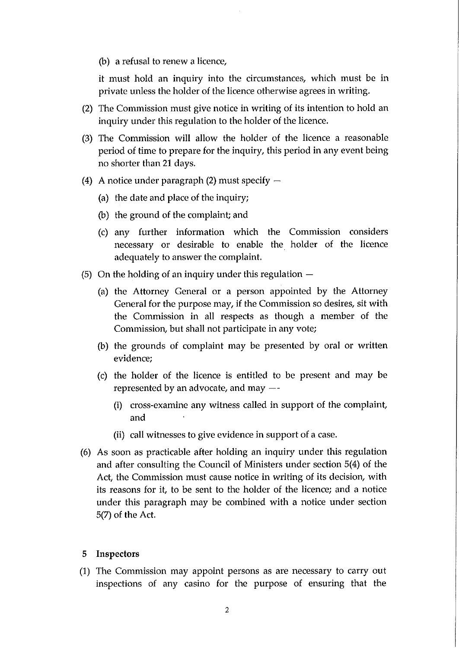(b) a refusal to renew a licence,

it must hold an inquiry into the circumstances, which must be in private unless the holder of the licence otherwise agrees in writing.

- (2) The Commission must give notice in writing of its intention to hold an inquiry under this regulation to the holder of the licence.
- (3) The Commission will allow the holder of the licence a reasonable period of time to prepare for the inquiry, this period in any event being no shorter than 21 days.
- (4) A notice under paragraph (2) must specify  $-$ 
	- (a) the date and place of the inquiry;
	- (b) the ground of the complaint; and
	- (c) any further information which the Commission considers necessary or desirable to enable the holder of the licence adequately to answer the complaint.
- (5) On the holding of an inquiry under this regulation
	- (a) the Attorney General or a person appointed by the Attorney General for the purpose may, if the Commission so desires, sit with the Commission in all respects as though a member of the Commission, but shall not participate in any vote;
	- (b) the grounds of complaint may be presented by oral or written evidence;
	- (c) the holder of the licence is entitled to be present and may be represented by an advocate, and may  $-$ -
		- (i) cross-examine any witness called in support of the complaint, and
		- (ii) call witnesses to give evidence in support of a case.
- (6) As soon as practicable after holding an inquiry under this regulation and after consulting the Council of Ministers under section 5(4) of the Act, the Commission must cause notice in writing of its decision, with its reasons for it, to be sent to the holder of the licence; and a notice under this paragraph may be combined with a notice under section 5(7) of the Act.

### 5 Inspectors

(1) The Commission may appoint persons as are necessary to carry out inspections of any casino for the purpose of ensuring that the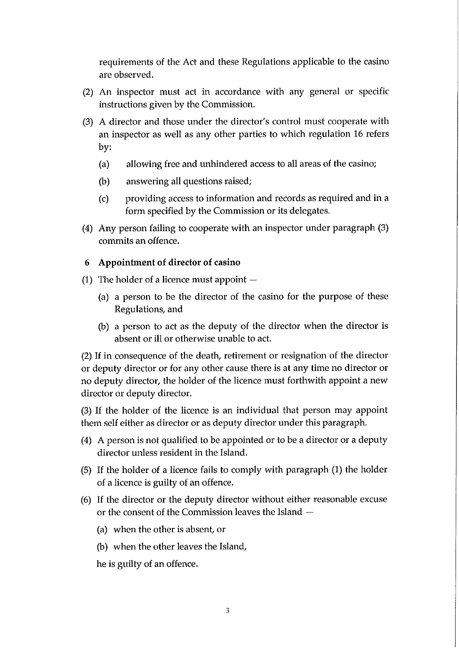requirements of the Act and these Regulations applicable to the casino are observed.

- (2) An inspector must act in accordance with any general or specific instructions given by the Commission.
- (3) A director and those under the director's control must cooperate with an inspector as well as any other parties to which regulation 16 refers by:
	- (a) allowing free and unhindered access to all areas of the casino;
	- (b) answering all questions raised;
	- (c) providing access to information and records as required and in a form specified by the Commission or its delegates.
- (4) Any person failing to cooperate with an inspector under paragraph (3) commits an offence.

### **6 Appointment of director of casino**

- (1) The holder of a licence must appoint  $-$ 
	- (a) a person to be the director of the casino for the purpose of these Regulations, and
	- (b) a person to act as the deputy of the director when the director is absent or ill or otherwise unable to act.

(2) If in consequence of the death, retirement or resignation of the director or deputy director or for any other cause there is at any time no director or no deputy director, the holder of the licence must forthwith appoint a new director or deputy director.

(3) If the holder of the licence is an individual that person may appoint them self either as director or as deputy director under this paragraph.

- (4) A person is not qualified to be appointed or to be a director or a deputy director unless resident in the Island.
- (5) If the holder of a licence fails to comply with paragraph (1) the holder of a licence is guilty of an offence.
- (6) If the director or the deputy director without either reasonable excuse or the consent of the Commission leaves the Island —
	- (a) when the other is absent, or
	- (b) when the other leaves the Island,

he is guilty of an offence.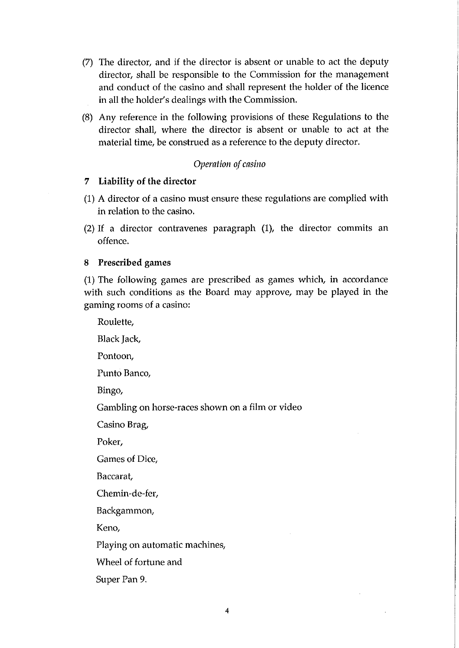- (7) The director, and if the director is absent or unable to act the deputy director, shall be responsible to the Commission for the management and conduct of the casino and shall represent the holder of the licence in all the holder's dealings with the Commission.
- (8) Any reference in the following provisions of these Regulations to the director shall, where the director is absent or unable to act at the material time, be construed as a reference to the deputy director.

### *Operation of casino*

## 7 Liability of the director

- (1) A director of a casino must ensure these regulations are complied with in relation to the casino.
- (2) If a director contravenes paragraph (1), the director commits an offence.

## 8 Prescribed games

Super Pan 9.

(1) The following games are prescribed as games which, in accordance with such conditions as the Board may approve, may be played in the gaming rooms of a casino:

Roulette, Black Jack, Pontoon, Punto Banco, Bingo, Gambling on horse-races shown on a film or video Casino Brag, Poker, Games of Dice, Baccarat, Chemin-de-fer, Backgammon, Keno, Playing on automatic machines, Wheel of fortune and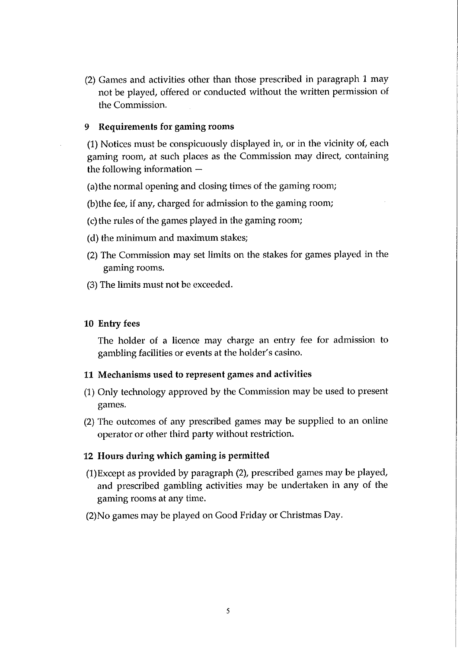(2) Games and activities other than those prescribed in paragraph 1 may not be played, offered or conducted without the written permission of the Commission.

## 9 Requirements for gaming rooms

(1) Notices must be conspicuously displayed in, or in the vicinity of, each gaming room, at such places as the Commission may direct, containing the following information —

(a)the normal opening and closing times of the gaming room;

(b)the fee, if any, charged for admission to the gaming room;

- (c) the rules of the games played in the gaming room;
- (d) the minimum and maximum stakes;
- (2) The Commission may set limits on the stakes for games played in the gaming rooms.
- (3) The limits must not be exceeded.

## 10 Entry fees

The holder of a licence may charge an entry fee for admission to gambling facilities or events at the holder's casino.

### 11 Mechanisms used to represent games and activities

- (1) Only technology approved by the Commission may be used to present games.
- (2) The outcomes of any prescribed games may be supplied to an online operator or other third party without restriction.

## 12 Hours during which gaming is permitted

- (1)Except as provided by paragraph (2), prescribed games may be played, and prescribed gambling activities may be undertaken in any of the gaming rooms at any time.
- (2)No games may be played on Good Friday or Christmas Day.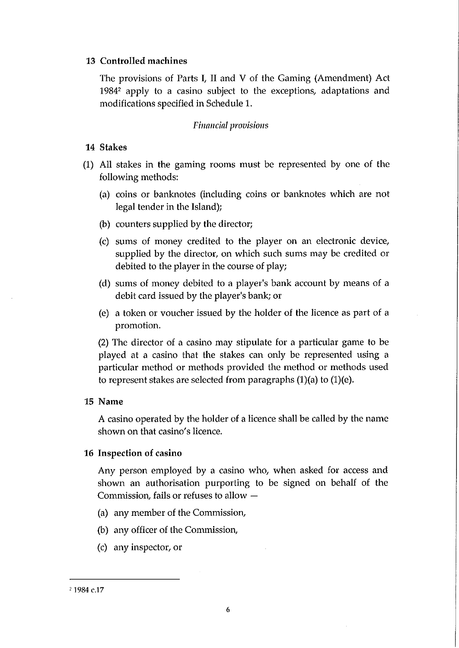## **13 Controlled machines**

The provisions of Parts **I,** II and V of the Gaming (Amendment) Act 1984<sup>2</sup> apply to a casino subject to the exceptions, adaptations and modifications specified in Schedule 1.

## *Financial provisions*

## **14 Stakes**

- **(1)** All stakes in the gaming rooms must be represented by one of the following methods:
	- (a) coins or banknotes (including coins or banknotes which are not legal tender in the Island);
	- (b) counters supplied by the director;
	- (c) sums of money credited to the player on an electronic device, supplied by the director, on which such sums may be credited or debited to the player in the course of play;
	- (d) sums of money debited to a player's bank account by means of a debit card issued by the player's bank; or
	- (e) a token or voucher issued by the holder of the licence as part of a promotion.

(2) The director of a casino may stipulate for a particular game to be played at a casino that the stakes can only be represented using a particular method or methods provided the method or methods used to represent stakes are selected from paragraphs (1)(a) to (1)(e).

### **15 Name**

A casino operated by the holder of a licence shall be called by the name shown on that casino's licence.

### **Id Inspection of casino**

Any person employed by a casino who, when asked for access and shown an authorisation purporting to be signed on behalf of the Commission, fails or refuses to allow —

- (a) any member of the Commission,
- (b) any officer of the Commission,
- (c) any inspector, or

<sup>2</sup>1984 c.17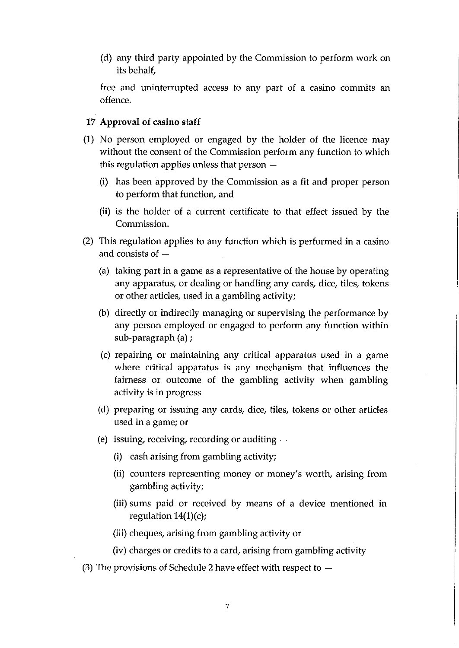(d) any third party appointed by the Commission to perform work on its behalf,

free and uninterrupted access to any part of a casino commits an offence.

## **17 Approval of casino staff**

- (1) No person employed or engaged by the holder of the licence may without the consent of the Commission perform any function to which this regulation applies unless that person —
	- (i) has been approved by the Commission as a fit and proper person to perform that function, and
	- (ii) is the holder of a current certificate to that effect issued by the Commission.
- (2) This regulation applies to any function which is performed in a casino and consists of —
	- (a) taking part in a game as a representative of the house by operating any apparatus, or dealing or handling any cards, dice, tiles, tokens or other articles, used in a gambling activity;
	- (b) directly or indirectly managing or supervising the performance by any person employed or engaged to perform any function within sub-paragraph (a) ;
	- (c) repairing or maintaining any critical apparatus used in a game where critical apparatus is any mechanism that influences the fairness or outcome of the gambling activity when gambling activity is in progress
	- (d) preparing or issuing any cards, dice, tiles, tokens or other articles used in a game; or
	- (e) issuing, receiving, recording or auditing
		- (1) cash arising from gambling activity;
		- (ii) counters representing money or money's worth, arising from gambling activity;
		- (iii) sums paid or received by means of a device mentioned in regulation 14(1)(c);
		- (iii) cheques, arising from gambling activity or
		- (iv) charges or credits to a card, arising from gambling activity
- (3) The provisions of Schedule 2 have effect with respect to  $-$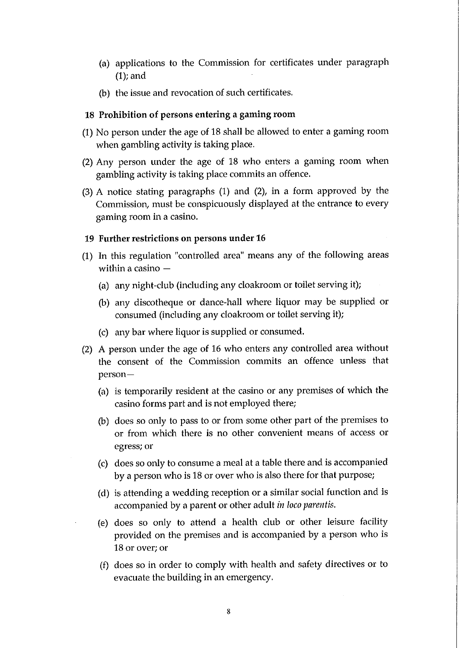- (a) applications to the Commission for certificates under paragraph (1); and
- (b) the issue and revocation of such certificates.

### **18 Prohibition of persons entering a gaming room**

- (1) No person under the age of 18 shall be allowed to enter a gaming room when gambling activity is taking place.
- $(2)$  Any person under the age of 18 who enters a gaming room when gambling activity is taking place commits an offence.
- (3) A notice stating paragraphs (1) and (2), in a form approved by the Commission, must be conspicuously displayed at the entrance to every gaming room in a casino.

### **19 Further restrictions on persons under 16**

- (1) In this regulation "controlled area" means any of the following areas within a casino —
	- (a) any night-club (including any cloakroom or toilet serving it);
	- (b) any discotheque or dance-hall where liquor may be supplied or consumed (including any cloakroom or toilet serving it);
	- (c) any bar where liquor is supplied or consumed.
- (2) A person under the age of 16 who enters any controlled area without the consent of the Commission commits an offence unless that person—
	- (a) is temporarily resident at the casino or any premises of which the casino forms part and is not employed there;
	- (b) does so only to pass to or from some other part of the premises to or from which there is no other convenient means of access or egress; or
	- (c) does so only to consume a meal at a table there and is accompanied by a person who is 18 or over who is also there for that purpose;
	- (d) is attending a wedding reception or a similar social function and is accompanied by a parent or other adult *in loco parentis.*
	- (e) does so only to attend a health club or other leisure facility provided on the premises and is accompanied by a person who is 18 or over; or
	- (f) does so in order to comply with health and safety directives or to evacuate the building in an emergency.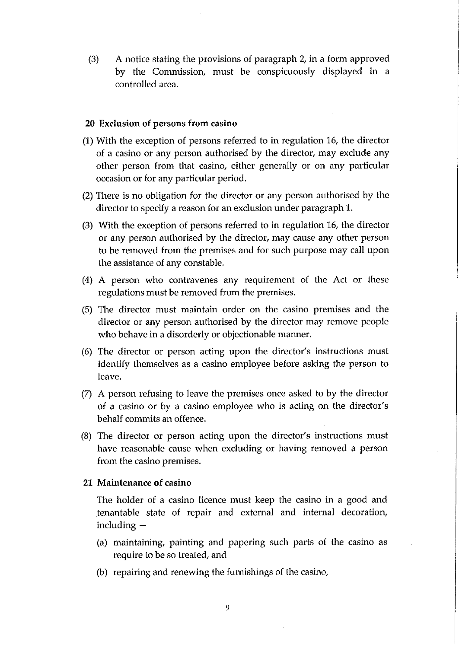(3) A notice stating the provisions of paragraph 2, in a form approved by the Commission, must be conspicuously displayed in a controlled area.

## **20 Exclusion of persons from casino**

- **(1) With** the exception of persons referred to in regulation 16, the director of a casino or any person authorised by the director, may exclude any other person from that casino, either generally or on any particular occasion or for any particular period.
- (2) There is no obligation for the director or any person authorised by the director to specify a reason for an exclusion under paragraph 1.
- (3) With the exception of persons referred to in regulation 16, the director or any person authorised by the director, may cause any other person to be removed from the premises and for such purpose may call upon the assistance of any constable.
- (4) A person who contravenes any requirement of the Act or these regulations must be removed from the premises.
- (5) The director must maintain order on the casino premises and the director or any person authorised by the director may remove people who behave in a disorderly or objectionable manner.
- (6) The director or person acting upon the director's instructions must identify themselves as a casino employee before asking the person to leave.
- (7) A person refusing to leave the premises once asked to by the director of a casino or by a casino employee who is acting on the director's behalf commits an offence.
- (8) The director or person acting upon the director's instructions must have reasonable cause when excluding or having removed a person from the casino premises.

#### **21 Maintenance of casino**

The holder of a casino licence must keep the casino in a good and tenantable state of repair and external and internal decoration, including —

- (a) maintaining, painting and papering such parts of the casino as require to be so treated, and
- (b) repairing and renewing the furnishings of the casino,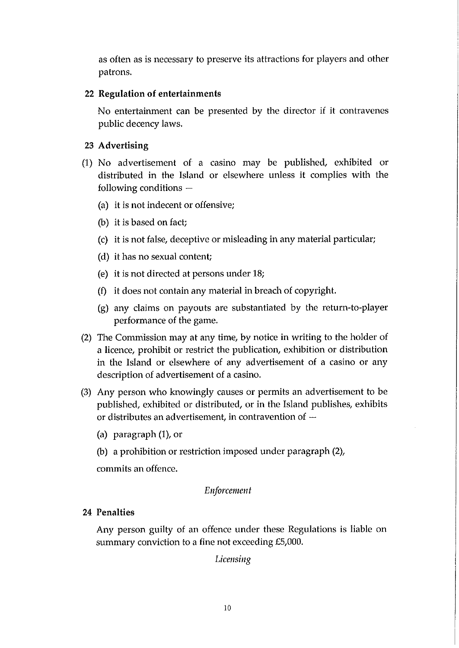as often as is necessary to preserve its attractions for players and other patrons.

## **22 Regulation of entertainments**

No entertainment can be presented by the director if it contravenes public decency laws.

# **23 Advertising**

- (1) No advertisement of a casino may be published, exhibited or distributed in the Island or elsewhere unless it complies with the following conditions —
	- (a) it is not indecent or offensive;
	- (b) it is based on fact;
	- (c) it is not false, deceptive or misleading in any material particular;
	- (d) it has no sexual content;
	- (e) it is not directed at persons under 18;
	- (f) it does not contain any material in breach of copyright.
	- (g) any claims on payouts are substantiated by the return-to-player performance of the game.
- (2) The Commission may at any time, by notice in writing to the holder of a licence, prohibit or restrict the publication, exhibition or distribution in the Island or elsewhere of any advertisement of a casino or any description of advertisement of a casino.
- (3) Any person who knowingly causes or permits an advertisement to be published, exhibited or distributed, or in the Island publishes, exhibits or distributes an advertisement, in contravention of  $-$ 
	- (a) paragraph (1), or
	- (b) a prohibition or restriction imposed under paragraph (2),

commits an offence.

# *Enforcement*

# **24 Penalties**

Any person guilty of an offence under these Regulations is liable on summary conviction to a fine not exceeding £5,000.

*Licensing*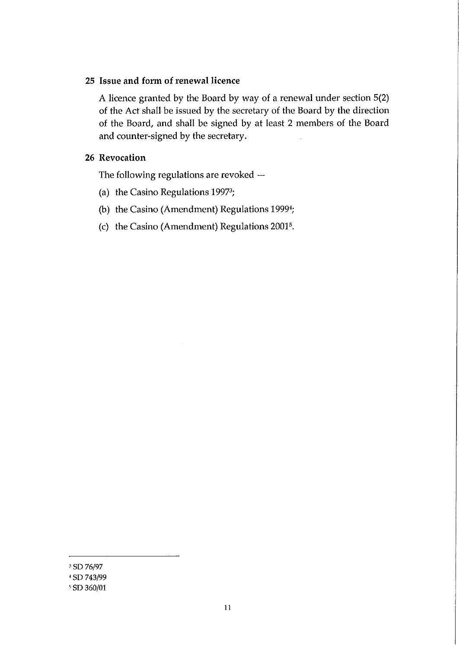## **25 Issue and form of renewal licence**

A licence granted by the Board by way of a renewal under section 5(2) of the Act shall be issued by the secretary of the Board by the direction of the Board, and shall be signed by at least 2 members of the Board and counter-signed by the secretary.

## **26 Revocation**

The following regulations are revoked —

- (a) the Casino Regulations 19973;
- (b) the Casino (Amendment) Regulations 1999';
- (c) the Casino (Amendment) Regulations 20015.

<sup>3</sup>SD 76/97

<sup>&</sup>lt;sup>4</sup> SD 743/99

SD 360/01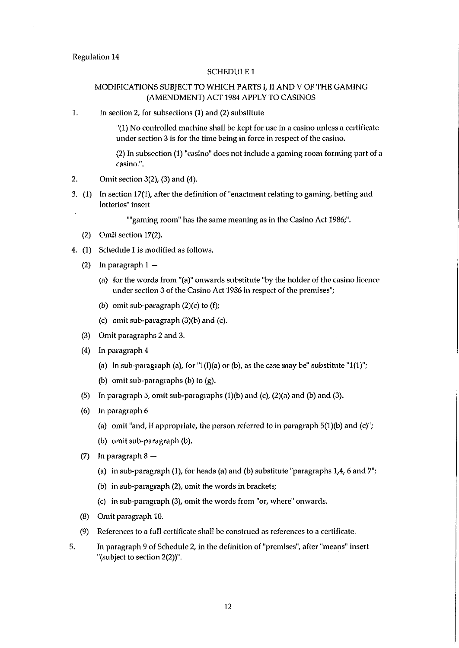#### Regulation 14

#### SCHEDULE 1

#### MODIFICATIONS SUBJECT TO WHICH PARTS I, II AND V OF THE GAMING (AMENDMENT) ACT 1984 APPLY TO CASINOS

1. In section 2, for subsections (1) and (2) substitute

"(1) No controlled machine shall be kept for use in a casino unless a certificate under section 3 is for the time being in force in respect of the casino.

(2) In subsection (1) "casino" does not include a gaming room forming part of a casino.".

- 2. Omit section 3(2), (3) and (4).
- 3. (1) In section 17(1), after the definition of "enactment relating to gaming, betting and lotteries" insert

""gaming room" has the same meaning as in the Casino Act 1986;".

- (2) Omit section 17(2).
- 4. (1) Schedule 1 is modified as follows.
	- (2) In paragraph 1
		- (a) for the words from "(a)" onwards substitute "by the holder of the casino licence under section 3 of the Casino Act 1986 in respect of the premises";
		- (b) omit sub-paragraph  $(2)(c)$  to  $(f)$ ;
		- (c) omit sub-paragraph  $(3)(b)$  and  $(c)$ .
	- (3) Omit paragraphs 2 and 3.
	- (4) In paragraph 4
		- (a) in sub-paragraph (a), for "1(I)(a) or (b), as the case may be" substitute "1(1)";
		- (b) omit sub-paragraphs (b) to (g).
	- (5) In paragraph 5, omit sub-paragraphs  $(1)(b)$  and  $(c)$ ,  $(2)(a)$  and  $(b)$  and  $(3)$ .
	- (6) In paragraph  $6-$ 
		- (a) omit "and, if appropriate, the person referred to in paragraph 5(1)(b) and (c)";
		- (b) omit sub-paragraph (b).
	- (7) In paragraph 8
		- (a) in sub-paragraph (1), for heads (a) and (b) substitute "paragraphs 1,4, 6 and 7";
		- (b) in sub-paragraph (2), omit the words in brackets;
		- (c) in sub-paragraph (3), omit the words from "or, where" onwards.
	- (8) Omit paragraph 10.
	- (9) References to a full certificate shall be construed as references to a certificate.
- 5. In paragraph 9 of Schedule 2, in the definition of "premises", after "means" insert "(subject to section 2(2))".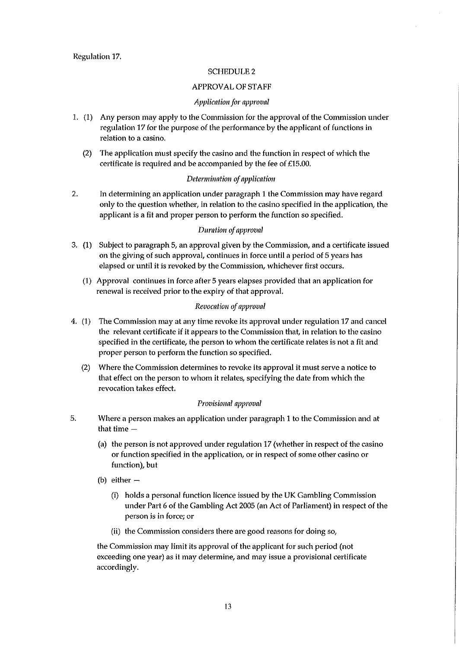#### SCHEDULE 2

#### APPROVAL OF STAFF

#### *Application for approval*

- *1.* (1) Any person may apply to the Commission for the approval of the Commission under regulation 17 for the purpose of the performance by the applicant of functions in relation to a casino.
	- (2) The application must specify the casino and the function in respect of which the certificate is required and be accompanied by the fee of £15.00.

#### *Determination of application*

2. In determining an application under paragraph 1 the Commission may have regard only to the question whether, in relation to the casino specified in the application, the applicant is a fit and proper person to perform the function so specified.

#### *Duration of approval*

- 3. (1) Subject to paragraph 5, an approval given by the Commission, and a certificate issued on the giving of such approval, continues in force until a period of 5 years has elapsed or until it is revoked by the Commission, whichever first occurs.
	- (1) Approval continues in force after 5 years elapses provided that an application for renewal is received prior to the expiry of that approval.

#### *Revocation of approval*

- 4. (1) The Commission may at any time revoke its approval under regulation 17 and cancel the relevant certificate if it appears to the Commission that, in relation to the casino specified in the certificate, the person to whom the certificate relates is not a fit and proper person to perform the function so specified.
	- (2) Where the Commission determines to revoke its approval it must serve a notice to that effect on the person to whom it relates, specifying the date from which the revocation takes effect.

#### *Provisional approval*

- 5. Where a person makes an application under paragraph 1 to the Commission and at that time —
	- (a) the person is not approved under regulation 17 (whether in respect of the casino or function specified in the application, or in respect of some other casino or function), but
	- (b) either
		- (I) holds a personal function licence issued by the UK Gambling Commission under Part 6 of the Gambling Act 2005 (an Act of Parliament) in respect of the person is in force; or
		- (ii) the Commission considers there are good reasons for doing so,

the Commission may limit its approval of the applicant for such period (not exceeding one year) as it may determine, and may issue a provisional certificate accordingly.